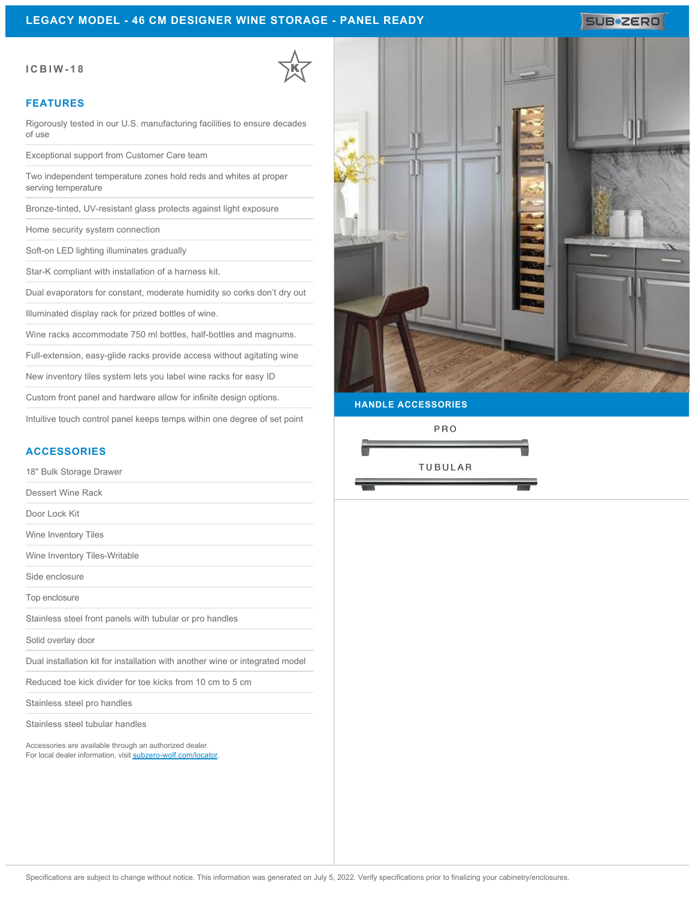### **LEGACY MODEL - 46 CM DESIGNER WINE STORAGE - PANEL READY**

# SUB<sup>\*</sup>ZERO

#### **ICBIW-18**

#### **FEATURES**

Rigorously tested in our U.S. manufacturing facilities to ensure decades of use

Exceptional support from Customer Care team

Two independent temperature zones hold reds and whites at proper serving temperature

Bronze-tinted, UV-resistant glass protects against light exposure

Home security system connection

Soft-on LED lighting illuminates gradually

Star-K compliant with installation of a harness kit.

Dual evaporators for constant, moderate humidity so corks don't dry out

Illuminated display rack for prized bottles of wine.

Wine racks accommodate 750 ml bottles, half-bottles and magnums.

Full-extension, easy-glide racks provide access without agitating wine

New inventory tiles system lets you label wine racks for easy ID

Custom front panel and hardware allow for infinite design options.

Intuitive touch control panel keeps temps within one degree of set point

### **ACCESSORIES**

18" Bulk Storage Drawer

Dessert Wine Rack

Door Lock Kit

Wine Inventory Tiles

Wine Inventory Tiles-Writable

Side enclosure

Top enclosure

Stainless steel front panels with tubular or pro handles

Solid overlay door

Dual installation kit for installation with another wine or integrated model

Reduced toe kick divider for toe kicks from 10 cm to 5 cm

Stainless steel pro handles

Stainless steel tubular handles

Accessories are available through an authorized dealer. For local dealer information, visit [subzero-wolf.com/locator.](http://www.subzero-wolf.com/locator)



**HANDLE ACCESSORIES**

PRO